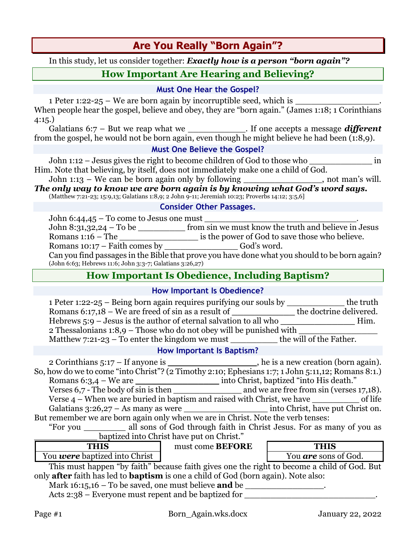# **Are You Really "Born Again"?**

In this study, let us consider together: *Exactly how is a person "born again"?*

# **How Important Are Hearing and Believing?**

#### **Must One Hear the Gospel?**

1 Peter 1:22-25 – We are born again by incorruptible seed, which is When people hear the gospel, believe and obey, they are "born again." (James 1:18; 1 Corinthians 4:15.)

Galatians 6:7 – But we reap what we \_\_\_\_\_\_\_\_\_\_\_\_\_. If one accepts a message *different* from the gospel, he would not be born again, even though he might believe he had been (1:8,9).

#### **Must One Believe the Gospel?**

John 1:12 – Jesus gives the right to become children of God to those who \_\_\_\_\_\_\_\_\_\_\_\_ in Him. Note that believing, by itself, does not immediately make one a child of God.

John 1:13 – We can be born again only by following \_\_\_\_\_\_\_\_\_\_\_\_\_\_\_, not man's will. *The only way to know we are born again is by knowing what God's word says.*

(Matthew 7:21-23; 15:9,13; Galatians 1:8,9; 2 John 9-11; Jeremiah 10:23; Proverbs 14:12; 3:5,6]

#### **Consider Other Passages.**

| John $6:44,45$ – To come to Jesus one must                                                    |                                                      |  |
|-----------------------------------------------------------------------------------------------|------------------------------------------------------|--|
| John 8:31,32,24 – To be                                                                       | from sin we must know the truth and believe in Jesus |  |
| Romans $1:16$ – The                                                                           | is the power of God to save those who believe.       |  |
| Romans $10:17$ – Faith comes by                                                               | God's word.                                          |  |
| Can you find passages in the Bible that prove you have done what you should to be born again? |                                                      |  |
| (John 6:63; Hebrews 11:6; John 3:3-7; Galatians 3:26,27)                                      |                                                      |  |

# **How Important Is Obedience, Including Baptism?**

#### **How Important Is Obedience?**

| 1 Peter 1:22-25 – Being born again requires purifying our souls by           | the truth               |  |  |
|------------------------------------------------------------------------------|-------------------------|--|--|
| Romans $6:17,18$ – We are freed of sin as a result of                        | the doctrine delivered. |  |  |
| Hebrews $5:9$ – Jesus is the author of eternal salvation to all who          | Him.                    |  |  |
| $\alpha$ 2 Thessalonians 1:8,9 – Those who do not obey will be punished with |                         |  |  |
| Matthew $7:21-23$ – To enter the kingdom we must                             | the will of the Father. |  |  |

#### **How Important Is Baptism?**

2 Corinthians 5:17 – If anyone is \_\_\_\_\_\_\_\_\_\_\_\_\_\_\_\_\_, he is a new creation (born again). So, how do we to come "into Christ"? (2 Timothy 2:10; Ephesians 1:7; 1 John 5:11,12; Romans 8:1.) Romans 6:3,4 – We are \_\_\_\_\_\_\_\_\_\_\_\_\_\_\_\_ into Christ, baptized "into His death."

Verses 6,7 - The body of sin is then \_\_\_\_\_\_\_\_\_\_\_\_\_ and we are free from sin (verses 17,18). Verse 4 – When we are buried in baptism and raised with Christ, we have \_\_\_\_\_\_\_\_\_ of life

Galatians 3:26,27 – As many as were \_\_\_\_\_\_\_\_\_\_\_\_\_\_\_\_ into Christ, have put Christ on. But remember we are born again only when we are in Christ. Note the verb tenses:

"For you \_\_\_\_\_\_\_\_ all sons of God through faith in Christ Jesus. For as many of you as baptized into Christ have put on Christ."

| THIS                                 | must come <b>BEFORE</b> | <b>THIS</b>                 |
|--------------------------------------|-------------------------|-----------------------------|
| You <b>were</b> baptized into Christ |                         | You <b>are</b> sons of God. |

This must happen "by faith" because faith gives one the right to become a child of God. But only **after** faith has led to **baptism** is one a child of God (born again). Note also:

Mark  $16:15,16$  – To be saved, one must believe **and** be

Acts 2:38 – Everyone must repent and be baptized for